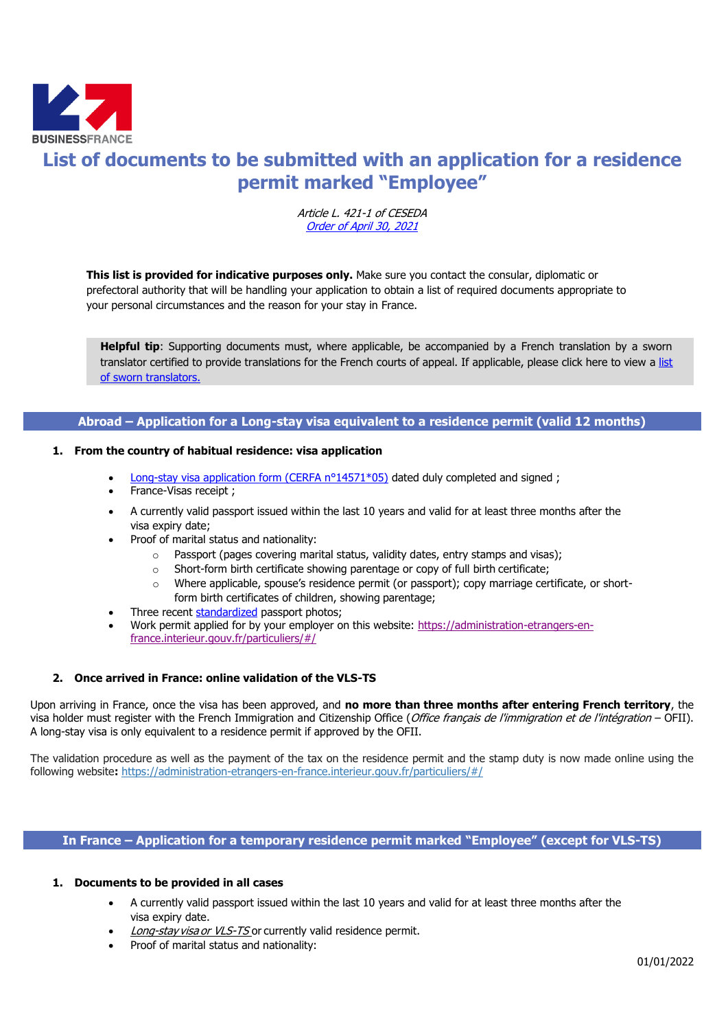

# **List of documents to be submitted with an application for a residence permit marked "Employee"**

Article L. 421-1 of CESEDA [Order of April](https://www.legifrance.gouv.fr/eli/arrete/2016/10/28/INTV1629756A/jo) 30, 2021

**This list is provided for indicative purposes only.** Make sure you contact the consular, diplomatic or prefectoral authority that will be handling your application to obtain a list of required documents appropriate to your personal circumstances and the reason for your stay in France.

**Helpful tip**: Supporting documents must, where applicable, be accompanied by a French translation by a sworn translator certified to provide translations for the French courts of appeal. If applicable, please click here to view a [list](http://www.annuaire-traducteur-assermente.fr/)  [of sworn translators.](http://www.annuaire-traducteur-assermente.fr/)

# **Abroad – Application for a Long-stay visa equivalent to a residence permit (valid 12 months)**

### **1. From the country of habitual residence: visa application**

- Long-stay visa application form (CERFA  $n^{\circ}14571^*05$ ) dated duly completed and signed;
- France-Visas receipt ;
- A currently valid passport issued within the last 10 years and valid for at least three months after the visa expiry date;
- Proof of marital status and nationality:
	- o Passport (pages covering marital status, validity dates, entry stamps and visas);
	- o Short-form birth certificate showing parentage or copy of full birth certificate;
	- o Where applicable, spouse's residence permit (or passport); copy marriage certificate, or shortform birth certificates of children, showing parentage;
- Three recent [standardized](http://www.diplomatie.gouv.fr/fr/IMG/pdf/Normes_des_photos_visas_-_exemples.pdf) passport photos;
- Work permit applied for by your employer on this website: [https://administration-etrangers-en](https://administration-etrangers-en-france.interieur.gouv.fr/particuliers/#/)[france.interieur.gouv.fr/particuliers/#/](https://administration-etrangers-en-france.interieur.gouv.fr/particuliers/#/)

## **2. Once arrived in France: online validation of the VLS-TS**

Upon arriving in France, once the visa has been approved, and **no more than three months after entering French territory**, the visa holder must register with the [French Immigration and Citizenship Office](http://www.ofii.fr/defaut.php3) (Office français de l'immigration et de l'intégration – OFII). A long-stay visa is only equivalent to a residence permit if approved by the OFII.

The validation procedure as well as the payment of the tax on the residence permit and the stamp duty is now made online using the following website**:** <https://administration-etrangers-en-france.interieur.gouv.fr/particuliers/#/>

## **In France – Application for a temporary residence permit marked "Employee" (except for VLS-TS)**

#### **1. Documents to be provided in all cases**

- A currently valid passport issued within the last 10 years and valid for at least three months after the visa expiry date.
- Long-stay visa or VLS-TS or currently valid residence permit.
- Proof of marital status and nationality: